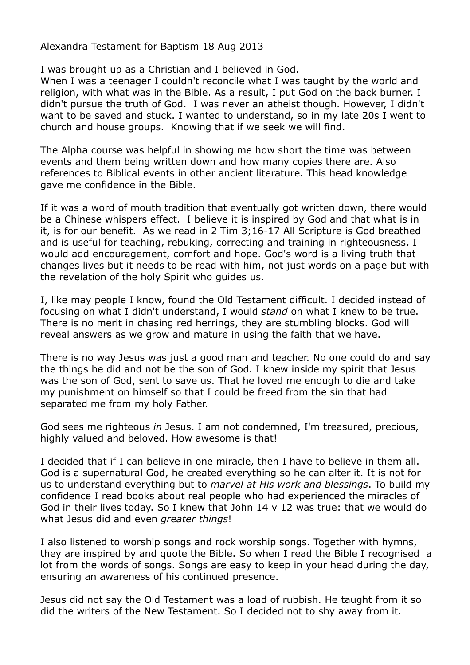Alexandra Testament for Baptism 18 Aug 2013

I was brought up as a Christian and I believed in God.

When I was a teenager I couldn't reconcile what I was taught by the world and religion, with what was in the Bible. As a result, I put God on the back burner. I didn't pursue the truth of God. I was never an atheist though. However, I didn't want to be saved and stuck. I wanted to understand, so in my late 20s I went to church and house groups. Knowing that if we seek we will find.

The Alpha course was helpful in showing me how short the time was between events and them being written down and how many copies there are. Also references to Biblical events in other ancient literature. This head knowledge gave me confidence in the Bible.

If it was a word of mouth tradition that eventually got written down, there would be a Chinese whispers effect. I believe it is inspired by God and that what is in it, is for our benefit. As we read in 2 Tim 3;16-17 All Scripture is God breathed and is useful for teaching, rebuking, correcting and training in righteousness, I would add encouragement, comfort and hope. God's word is a living truth that changes lives but it needs to be read with him, not just words on a page but with the revelation of the holy Spirit who guides us.

I, like may people I know, found the Old Testament difficult. I decided instead of focusing on what I didn't understand, I would *stand* on what I knew to be true. There is no merit in chasing red herrings, they are stumbling blocks. God will reveal answers as we grow and mature in using the faith that we have.

There is no way Jesus was just a good man and teacher. No one could do and say the things he did and not be the son of God. I knew inside my spirit that Jesus was the son of God, sent to save us. That he loved me enough to die and take my punishment on himself so that I could be freed from the sin that had separated me from my holy Father.

God sees me righteous *in* Jesus. I am not condemned, I'm treasured, precious, highly valued and beloved. How awesome is that!

I decided that if I can believe in one miracle, then I have to believe in them all. God is a supernatural God, he created everything so he can alter it. It is not for us to understand everything but to *marvel at His work and blessings*. To build my confidence I read books about real people who had experienced the miracles of God in their lives today. So I knew that John 14 v 12 was true: that we would do what Jesus did and even *greater things*!

I also listened to worship songs and rock worship songs. Together with hymns, they are inspired by and quote the Bible. So when I read the Bible I recognised a lot from the words of songs. Songs are easy to keep in your head during the day, ensuring an awareness of his continued presence.

Jesus did not say the Old Testament was a load of rubbish. He taught from it so did the writers of the New Testament. So I decided not to shy away from it.